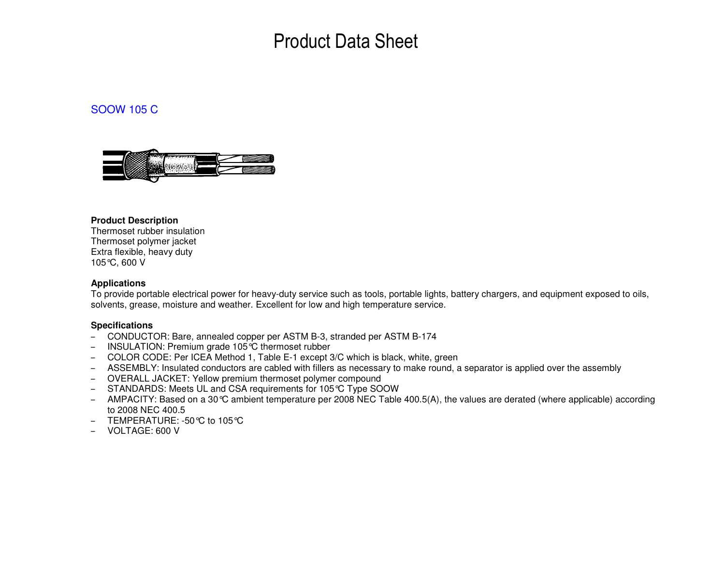# Product Data Sheet

### SOOW 105 C



#### **Product Description**

 Thermoset rubber insulation Thermoset polymer jacket Extra flexible, heavy duty 105°C, 600 V

#### **Applications**

 To provide portable electrical power for heavy-duty service such as tools, portable lights, battery chargers, and equipment exposed to oils, solvents, grease, moisture and weather. Excellent for low and high temperature service.

#### **Specifications**

- CONDUCTOR: Bare, annealed copper per ASTM B-3, stranded per ASTM B-174
- INSULATION: Premium grade 105°C thermoset rubber
- COLOR CODE: Per ICEA Method 1, Table E-1 except 3/C which is black, white, green
- ASSEMBLY: Insulated conductors are cabled with fillers as necessary to make round, a separator is applied over the assembly
- OVERALL JACKET: Yellow premium thermoset polymer compound
- STANDARDS: Meets UL and CSA requirements for 105°C Type SOOW
- AMPACITY: Based on a 30°C ambient temperature per 2008 NEC Table 400.5(A), the values are derated (where applicable) according to 2008 NEC 400.5
- TEMPERATURE: -50°C to 105°C
- VOLTAGE: 600 V